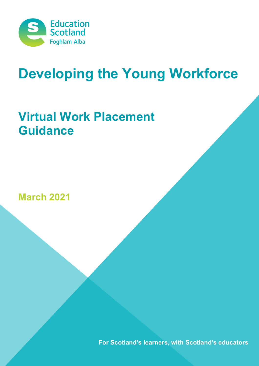

# **Developing the Young Workforce**

## **Virtual Work Placement Guidance**

**March 2021**

For Scotland's learners, with Scotland's educators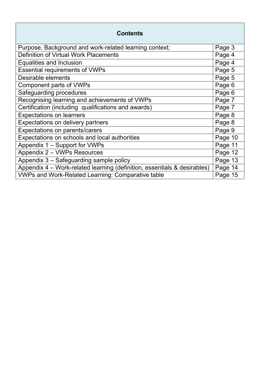| <b>Contents</b>                                                          |         |  |  |  |  |
|--------------------------------------------------------------------------|---------|--|--|--|--|
| Purpose, Background and work-related learning context;                   | Page 3  |  |  |  |  |
| <b>Definition of Virtual Work Placements</b>                             |         |  |  |  |  |
| <b>Equalities and Inclusion</b>                                          |         |  |  |  |  |
| <b>Essential requirements of VWPs</b>                                    |         |  |  |  |  |
| <b>Desirable elements</b>                                                |         |  |  |  |  |
| Component parts of VWPs                                                  |         |  |  |  |  |
| Safeguarding procedures                                                  | Page 6  |  |  |  |  |
| Recognising learning and achievements of VWPs                            |         |  |  |  |  |
| Certification (including qualifications and awards)                      |         |  |  |  |  |
| <b>Expectations on learners</b>                                          |         |  |  |  |  |
| Expectations on delivery partners                                        |         |  |  |  |  |
| Expectations on parents/carers                                           |         |  |  |  |  |
| Expectations on schools and local authorities                            | Page 10 |  |  |  |  |
| Appendix 1 - Support for VWPs                                            | Page 11 |  |  |  |  |
| Appendix 2 - VWPs Resources                                              | Page 12 |  |  |  |  |
| Appendix 3 - Safeguarding sample policy                                  | Page 13 |  |  |  |  |
| Appendix 4 - Work-related learning (definition, essentials & desirables) | Page 14 |  |  |  |  |
| <b>VWPs and Work-Related Learning: Comparative table</b>                 | Page 15 |  |  |  |  |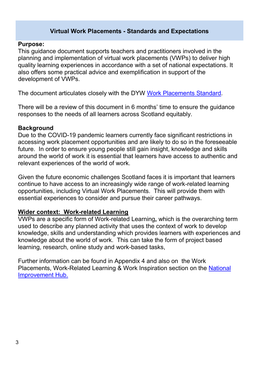#### **Virtual Work Placements - Standards and Expectations**

#### **Purpose:**

This guidance document supports teachers and practitioners involved in the planning and implementation of virtual work placements (VWPs) to deliver high quality learning experiences in accordance with a set of national expectations. It also offers some practical advice and exemplification in support of the development of VWPs.

The document articulates closely with the DYW [Work Placements Standard.](https://education.gov.scot/improvement/documents/dyw4-work-placement-standard0915.pdf)

There will be a review of this document in 6 months' time to ensure the guidance responses to the needs of all learners across Scotland equitably.

#### **Background**

Due to the COVID-19 pandemic learners currently face significant restrictions in accessing work placement opportunities and are likely to do so in the foreseeable future. In order to ensure young people still gain insight, knowledge and skills around the world of work it is essential that learners have access to authentic and relevant experiences of the world of work.

Given the future economic challenges Scotland faces it is important that learners continue to have access to an increasingly wide range of work-related learning opportunities, including Virtual Work Placements. This will provide them with essential experiences to consider and pursue their career pathways.

#### **Wider context: Work-related Learning**

VWPs are a specific form of Work-related Learning**,** which is the overarching term used to describe any planned activity that uses the context of work to develop knowledge, skills and understanding which provides learners with experiences and knowledge about the world of work. This can take the form of project based learning, research, online study and work-based tasks,

Further information can be found in Appendix 4 and also on the Work Placements, Work-Related Learning & Work Inspiration section on the [National](https://education.gov.scot/improvement/learning-resources/work-related-learning-career-insight-enterprise-work-inspiration-and-simulated-environments/)  [Improvement Hub.](https://education.gov.scot/improvement/learning-resources/work-related-learning-career-insight-enterprise-work-inspiration-and-simulated-environments/)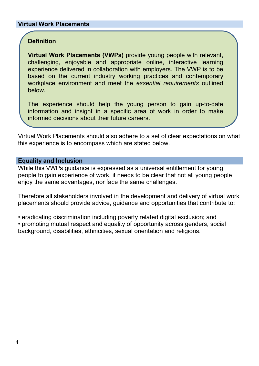#### **Virtual Work Placements**

#### **Definition**

**Virtual Work Placements (VWPs)** provide young people with relevant, challenging, enjoyable and appropriate online, interactive learning experience delivered in collaboration with employers. The VWP is to be based on the current industry working practices and contemporary workplace environment and meet the *essential requirements* outlined below.

The experience should help the young person to gain up-to-date information and insight in a specific area of work in order to make informed decisions about their future careers.

Virtual Work Placements should also adhere to a set of clear expectations on what this experience is to encompass which are stated below.

#### **Equality and Inclusion**

While this VWPs guidance is expressed as a universal entitlement for young people to gain experience of work, it needs to be clear that not all young people enjoy the same advantages, nor face the same challenges.

Therefore all stakeholders involved in the development and delivery of virtual work placements should provide advice, guidance and opportunities that contribute to:

• eradicating discrimination including poverty related digital exclusion; and

• promoting mutual respect and equality of opportunity across genders, social background, disabilities, ethnicities, sexual orientation and religions.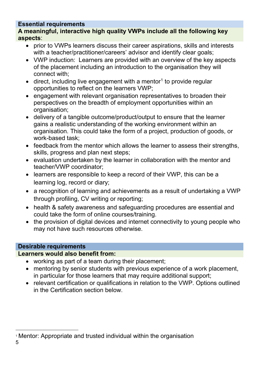#### **Essential requirements**

**A meaningful, interactive high quality VWPs include all the following key aspects**:

- prior to VWPs learners discuss their career aspirations, skills and interests with a teacher/practitioner/careers' advisor and identify clear goals;
- VWP induction: Learners are provided with an overview of the key aspects of the placement including an introduction to the organisation they will connect with;
- $\bullet$  direct, including live engagement with a mentor<sup>[1](#page-4-0)</sup> to provide regular opportunities to reflect on the learners VWP;
- engagement with relevant organisation representatives to broaden their perspectives on the breadth of employment opportunities within an organisation;
- delivery of a tangible outcome/product/output to ensure that the learner gains a realistic understanding of the working environment within an organisation. This could take the form of a project, production of goods, or work-based task;
- feedback from the mentor which allows the learner to assess their strengths, skills, progress and plan next steps;
- evaluation undertaken by the learner in collaboration with the mentor and teacher/VWP coordinator;
- learners are responsible to keep a record of their VWP, this can be a learning log, record or diary;
- a recognition of learning and achievements as a result of undertaking a VWP through profiling, CV writing or reporting;
- health & safety awareness and safeguarding procedures are essential and could take the form of online courses/training.
- the provision of digital devices and internet connectivity to young people who may not have such resources otherwise.

#### **Desirable requirements**

#### **Learners would also benefit from:**

- working as part of a team during their placement;
- mentoring by senior students with previous experience of a work placement, in particular for those learners that may require additional support;
- relevant certification or qualifications in relation to the VWP. Options outlined in the Certification section below.

<span id="page-4-0"></span><sup>-</sup><sup>1</sup> Mentor: Appropriate and trusted individual within the organisation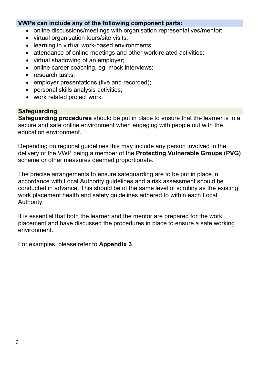#### **VWPs can include any of the following component parts:**

- online discussions/meetings with organisation representatives/mentor;
- virtual organisation tours/site visits;
- learning in virtual work-based environments:
- attendance of online meetings and other work-related activities;
- virtual shadowing of an employer;
- online career coaching, eg. mock interviews;
- research tasks:
- employer presentations (live and recorded);
- personal skills analysis activities;
- work related project work.

#### **Safeguarding**

**Safeguarding procedures** should be put in place to ensure that the learner is in a secure and safe online environment when engaging with people out with the education environment.

Depending on regional guidelines this may include any person involved in the delivery of the VWP being a member of the **Protecting Vulnerable Groups (PVG)** scheme or other measures deemed proportionate.

The precise arrangements to ensure safeguarding are to be put in place in accordance with Local Authority guidelines and a risk assessment should be conducted in advance. This should be of the same level of scrutiny as the existing work placement health and safety guidelines adhered to within each Local Authority.

It is essential that both the learner and the mentor are prepared for the work placement and have discussed the procedures in place to ensure a safe working environment.

For examples, please refer to **Appendix 3**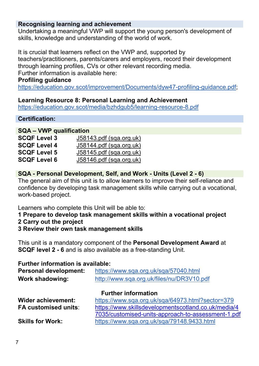#### **Recognising learning and achievement**

Undertaking a meaningful VWP will support the young person's development of skills, knowledge and understanding of the world of work.

It is crucial that learners reflect on the VWP and, supported by teachers/practitioners, parents/carers and employers, record their development through learning profiles, CVs or other relevant recording media. Further information is available here:

#### **Profiling guidance**

[https://education.gov.scot/improvement/Documents/dyw47-profiling-guidance.pdf;](https://education.gov.scot/improvement/Documents/dyw47-profiling-guidance.pdf)

#### **Learning Resource 8: Personal Learning and Achievement**

<https://education.gov.scot/media/bzhdgub5/learning-resource-8.pdf>

#### **Certification:**

#### **SQA – VWP qualification**

| <b>SCQF Level 3</b> | J58143.pdf (sqa.org.uk)        |
|---------------------|--------------------------------|
| <b>SCQF Level 4</b> | <u>J58144.pdf (sqa.org.uk)</u> |
| <b>SCQF Level 5</b> | $J58145.pdf$ (sqa.org.uk)      |
| <b>SCQF Level 6</b> | $J58146.pdf$ (sqa.org.uk)      |

#### **SQA - Personal Development, Self, and Work - Units (Level 2 - 6)**

The general aim of this unit is to allow learners to improve their self-reliance and confidence by developing task management skills while carrying out a vocational, work-based project.

Learners who complete this Unit will be able to:

- **1 Prepare to develop task management skills within a vocational project**
- **2 Carry out the project**
- **3 Review their own task management skills**

This unit is a mandatory component of the **Personal Development Award** at **SCQF level 2 - 6** and is also available as a free-standing Unit.

#### **Further information is available:**

| <b>Personal development:</b> | https://www.sqa.org.uk/sqa/57040.html               |  |  |
|------------------------------|-----------------------------------------------------|--|--|
| <b>Work shadowing:</b>       | http://www.sqa.org.uk/files/nu/DR3V10.pdf           |  |  |
|                              | <b>Further information</b>                          |  |  |
| <b>Wider achievement:</b>    | https://www.sqa.org.uk/sqa/64973.html?sector=379    |  |  |
| <b>FA customised units:</b>  | https://www.skillsdevelopmentscotland.co.uk/media/4 |  |  |
|                              | 7035/customised-units-approach-to-assessment-1.pdf  |  |  |
| <b>Skills for Work:</b>      | https://www.sqa.org.uk/sqa/79148.9433.html          |  |  |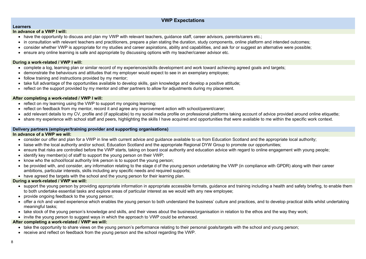#### **Delivery partners (employer/training provider and supporting organisations)**

#### **In advance of a VWP we will:**

- consider our offer and plan for a VWP in line with current advice and quidance available to us from Education Scotland and the appropriate local authority;
- liaise with the local authority and/or school, Education Scotland and the appropriate Regional DYW Group to promote our opportunities;
- ensure that risks are controlled before the VWP starts, taking on board local authority and education advice with regard to online engagement with young people;
- identify key member(s) of staff to support the young person on their VWP;
- know who the school/local authority link person is to support the young person;
- be provided with, and consider, any information relating to the stage d of the young person undertaking the VWP (in compliance with GPDR) along with their career ambitions, particular interests, skills including any specific needs and required supports;
- have agreed the targets with the school and the young person for their learning plan.

- take the opportunity to share views on the young person's performance relating to their personal goals/targets with the school and young person;
- receive and reflect on feedback from the young person and the school regarding the VWP.

#### **During a work-related / VWP we will:**

- support the young person by providing appropriate information in appropriate accessible formats, guidance and training including a health and safety briefing, to enable them to both undertake essential tasks and explore areas of particular interest as we would with any new employee;
- provide ongoing feedback to the young person;
- offer a rich and varied experience which enables the young person to both understand the business' culture and practices, and to develop practical skills whilst undertaking meaningful tasks;
- take stock of the young person's knowledge and skills, and their views about the business/organisation in relation to the ethos and the way they work;
- invite the young person to suggest ways in which the approach to VWP could be enhanced.
- have the opportunity to discuss and plan my VWP with relevant teachers, guidance staff, career advisors, parents/carers etc.;
- in consultation with relevant teachers and practitioners, prepare a plan stating the duration, study components, online platform and intended outcomes;
- consider whether VWP is appropriate for my studies and career aspirations, ability and capabilities, and ask for or suggest an alternative were possible;
- ensure any online learning is safe and appropriate by discussing options with my teacher/career advisor etc.

#### **After completing a work-related / VWP we will:**

### **VWP Expectations**

**Learners**

#### **In advance of a VWP I will:**

#### **During a work-related / VWP I will:**

- complete a log, learning plan or similar record of my experiences/skills development and work toward achieving agreed goals and targets;
- demonstrate the behaviours and attitudes that my employer would expect to see in an exemplary employee;
- follow training and instructions provided by my mentor;
- take full advantage of the opportunities available to develop skills, gain knowledge and develop a positive attitude;
- reflect on the support provided by my mentor and other partners to allow for adjustments during my placement.

#### **After completing a work-related / VWP I will:**

- reflect on my learning using the VWP to support my ongoing learning;
- reflect on feedback from my mentor, record it and agree any improvement action with school/parent/carer;
- add relevant details to my CV, profile and (if applicable) to my social media profile on professional platforms taking account of advice provided around online etiquette;
- share my experience with school staff and peers, highlighting the skills I have acquired and opportunities that were available to me within the specific work context.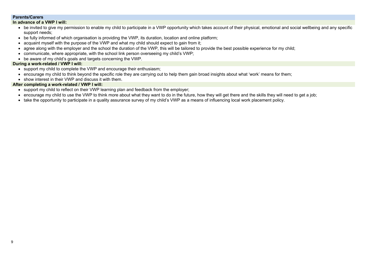#### **Parents/Carers**

#### **In advance of a VWP I will:**

- be invited to give my permission to enable my child to participate in a VWP opportunity which takes account of their physical, emotional and social wellbeing and any specific support needs;
- be fully informed of which organisation is providing the VWP, its duration, location and online platform;
- acquaint myself with the purpose of the VWP and what my child should expect to gain from it;
- agree along with the employer and the school the duration of the VWP, this will be tailored to provide the best possible experience for my child;
- communicate, where appropriate, with the school link person overseeing my child's VWP;
- be aware of my child's goals and targets concerning the VWP.

- support my child to reflect on their VWP learning plan and feedback from the employer;
- encourage my child to use the VWP to think more about what they want to do in the future, how they will get there and the skills they will need to get a job;
- take the opportunity to participate in a quality assurance survey of my child's VWP as a means of influencing local work placement policy.

#### **During a work-related / VWP I will:**

- support my child to complete the VWP and encourage their enthusiasm;
- encourage my child to think beyond the specific role they are carrying out to help them gain broad insights about what 'work' means for them;
- show interest in their VWP and discuss it with them.

#### **After completing a work-related / VWP I will:**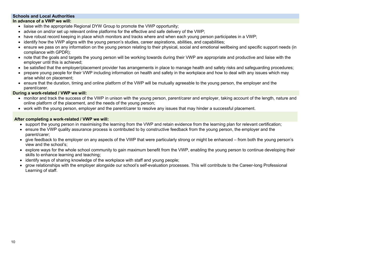#### **Schools and Local Authorities In advance of a VWP we will:**

- liaise with the appropriate Regional DYW Group to promote the VWP opportunity;
- advise on and/or set up relevant online platforms for the effective and safe delivery of the VWP;
- have robust record keeping in place which monitors and tracks where and when each young person participates in a VWP;
- identify how the VWP aligns with the young person's studies, career aspirations, abilities, and capabilities;
- ensure we pass on any information on the young person relating to their physical, social and emotional wellbeing and specific support needs (in compliance with GPDR);
- note that the goals and targets the young person will be working towards during their VWP are appropriate and productive and liaise with the employer until this is achieved;
- be satisfied that the employer/placement provider has arrangements in place to manage health and safety risks and safeguarding procedures;
- prepare young people for their VWP including information on health and safety in the workplace and how to deal with any issues which may arise whilst on placement;
- ensure that the duration, timing and online platform of the VWP will be mutually agreeable to the young person, the employer and the parent/carer.

- monitor and track the success of the VWP in unison with the young person, parent/carer and employer, taking account of the length, nature and online platform of the placement, and the needs of the young person;
- work with the young person, employer and the parent/carer to resolve any issues that may hinder a successful placement.

- support the young person in maximising the learning from the VWP and retain evidence from the learning plan for relevant certification;
- ensure the VWP quality assurance process is contributed to by constructive feedback from the young person, the employer and the parent/carer;
- give feedback to the employer on any aspects of the VWP that were particularly strong or might be enhanced from both the young person's view and the school's;
- explore ways for the whole school community to gain maximum benefit from the VWP, enabling the young person to continue developing their skills to enhance learning and teaching;
- identify ways of sharing knowledge of the workplace with staff and young people;
- grow relationships with the employer alongside our school's self-evaluation processes. This will contribute to the Career-long Professional Learning of staff.

#### **During a work-related / VWP we will:**

#### **After completing a work-related / VWP we will:**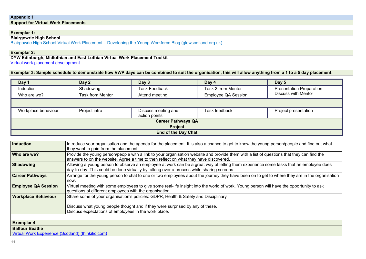Presentation Preparation<br>Discuss with Mentor

**Induction** Interace and find out what

ions that they can find the

tasks that an employee does

where they are in the organisation

ave the opportunity to ask

#### **Appendix 1 Support for Virtual Work Placements**

#### **Exemplar 1:**

**Blairgowrie High School**

Blairgowrie High School Virtual Work Placement – [Developing the Young Workforce Blog \(glowscotland.org.uk\)](https://blogs.glowscotland.org.uk/glowblogs/dyw20/2020/12/07/blairgowrie-high-school-virtual-work-placement/)

#### **Exemplar 2:**

**DYW Edinburgh, Midlothian and East Lothian Virtual Work Placement Toolkit** [Virtual work placement development](https://padlet.com/klausmayer1/91j8xgkczkxfxr03)

#### **Exemplar 3: Sample schedule to demonstrate how VWP days can be combined to suit the organisation, this will allow anything from a 1 to a 5 day placement.**

| Introduce your organisation and the agenda for the placement. It is also a chance to get to know the young pe<br>they want to gain from the placement.                                                   |  |  |  |
|----------------------------------------------------------------------------------------------------------------------------------------------------------------------------------------------------------|--|--|--|
| Provide the young person/people with a link to your organisation website and provide them with a list of questi<br>answers to on the website. Agree a time to then reflect on what they have discovered. |  |  |  |
| Allowing a young person to observe an employee at work can be a great way of letting them experience some<br>day-to-day. This could be done virtually by talking over a process while sharing screens.   |  |  |  |
| Arrange for the young person to chat to one or two employees about the journey they have been on to get to v                                                                                             |  |  |  |
| Virtual meeting with some employees to give some real-life insight into the world of work. Young person will ha<br>questions of different employees with the organisation.                               |  |  |  |
| Share some of your organisation's policies: GDPR, Health & Safety and Disciplinary                                                                                                                       |  |  |  |
| Discuss what young people thought and if they were surprised by any of these.<br>Discuss expectations of employees in the work place.                                                                    |  |  |  |
|                                                                                                                                                                                                          |  |  |  |

**Exemplar 4:** 

**Balfour Beattie**

[Virtual Work Experience \(Scotland\) \(thinkific.com\)](https://balfourbeatty.thinkific.com/courses/virtual-work-experience)

| Day 1               | Day 2                   | Day 3                                | Day 4                      | Day 5                                                    |
|---------------------|-------------------------|--------------------------------------|----------------------------|----------------------------------------------------------|
| <b>Induction</b>    | Shadowing               | <b>Task Feedback</b>                 | <b>Task 2 from Mentor</b>  | <b>Presentation Prepar</b><br><b>Discuss with Mentor</b> |
| Who are we?         | <b>Task from Mentor</b> | Attend meeting                       | <b>Employee QA Session</b> |                                                          |
|                     |                         |                                      |                            |                                                          |
| Workplace behaviour | Project intro           | Discuss meeting and<br>action points | <b>Task feedback</b>       | <b>Project presentation</b>                              |
|                     |                         | <b>Career Pathways QA</b>            |                            |                                                          |
|                     |                         | <b>Project</b>                       |                            |                                                          |
|                     |                         | <b>End of the Day Chat</b>           |                            |                                                          |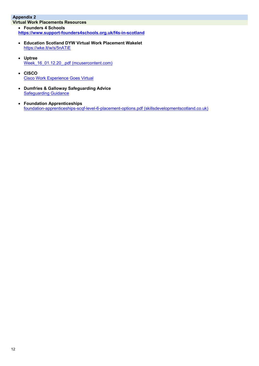### **Appendix 2**

**Virtual Work Placements Resources**

- **Founders 4 Schools <https://www.support-founders4schools.org.uk/f4s-in-scotland>**
- **Education Scotland DYW Virtual Work Placement Wakelet** <https://wke.lt/w/s/5nATiE>
- **Uptree** [Week\\_16\\_01.12.20\\_.pdf \(mcusercontent.com\)](https://mcusercontent.com/75fef2b2701788c2c427dc052/files/798acd02-6c5c-4b39-9f96-b92858d1d12a/Week_16_01.12.20_.pdf)
- **CISCO** [Cisco Work Experience Goes Virtual](https://gblogs.cisco.com/uki/cisco-work-experience-goes-virtual/)
- **Dumfries & Galloway Safeguarding Advice [Safeguarding Guidance](https://drive.google.com/file/d/15hRa_aT_a77zAIueDo-jO9qadcWQk8zX/view?usp=sharing)**
- **Foundation Apprenticeships** [foundation-apprenticeships-scqf-level-6-placement-options.pdf \(skillsdevelopmentscotland.co.uk\)](https://www.skillsdevelopmentscotland.co.uk/media/47024/foundation-apprenticeships-scqf-level-6-placement-options.pdf)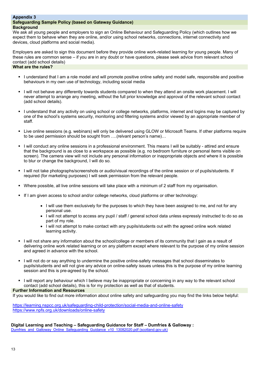#### **Appendix 3 Safeguarding Sample Policy (based on Gateway Guidance) Background**

We ask all young people and employers to sign an Online Behaviour and Safeguarding Policy (which outlines how we expect them to behave when they are online, and/or using school networks, connections, internet connectivity and devices, cloud platforms and social media).

Employers are asked to sign this document before they provide online work-related learning for young people. Many of these rules are common sense – if you are in any doubt or have questions, please seek advice from relevant school contact (add school details)

#### **What are the rules?**

- I understand that I am a role model and will promote positive online safety and model safe, responsible and positive behaviours in my own use of technology, including social media
- I limit not behave any differently towards students compared to when they attend an onsite work placement. I will never attempt to arrange any meeting, without the full prior knowledge and approval of the relevant school contact (add school details).
- I understand that any activity on using school or college networks, platforms, internet and logins may be captured by one of the school's systems security, monitoring and filtering systems and/or viewed by an appropriate member of staff.
- Live online sessions (e.g. webinars) will only be delivered using GLOW or Microsoft Teams. If other platforms require to be used permission should be sought from ….(relvant person's name)…
- I will conduct any online sessions in a professional environment. This means I will be suitably attired and ensure that the background is as close to a workspace as possible (e.g. no bedroom furniture or personal items visible on screen). The camera view will not include any personal information or inappropriate objects and where it is possible to blur or change the background, I will do so.
- I will not take photographs/screenshots or audio/visual recordings of the online session or of pupils/students. If required (for marketing purposes) I will seek permission from the relevant people.
- Where possible, all live online sessions will take place with a minimum of 2 staff from my organisation.
- If I am given access to school and/or college networks, cloud platforms or other technology:
	- I will use them exclusively for the purposes to which they have been assigned to me, and not for any personal use.
	- I will not attempt to access any pupil / staff / general school data unless expressly instructed to do so as part of my role.
	- I will not attempt to make contact with any pupils/students out with the agreed online work related learning activity.
- I will not share any information about the school/college or members of its community that I gain as a result of delivering online work related learning or on any platform except where relevant to the purpose of my online session and agreed in advance with the school.
- I will not do or say anything to undermine the positive online-safety messages that school disseminates to pupils/students and will not give any advice on online-safety issues unless this is the purpose of my online learning session and this is pre-agreed by the school.
- I will report any behaviour which I believe may be inappropriate or concerning in any way to the relevant school contact (add school details), this is for my protection as well as that of students.

**Digital Learning and Teaching – Safeguarding Guidance for Staff – Dumfries & Galloway :** [Dumfries\\_and\\_Galloway\\_Online\\_Safeguarding\\_Guidance\\_v10\\_13082020.pdf \(scotland.gov.uk\)](file://scotland.gov.uk/dc1/fs3_home/U440022/Work%20Experience/Dumfries_and_Galloway_Online_Safeguarding_Guidance_v10_13082020.pdf)

#### **Further Information and Resources**

If you would like to find out more information about online safety and safeguarding you may find the links below helpful:

<https://learning.nspcc.org.uk/safeguarding-child-protection/social-media-and-online-safety> <https://www.npfs.org.uk/downloads/online-safety>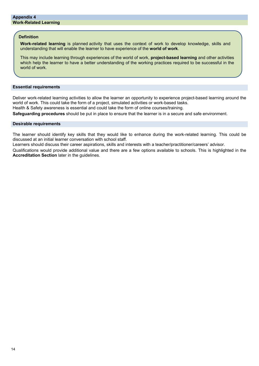#### **Essential requirements**

Deliver work-related learning activities to allow the learner an opportunity to experience project-based learning around the world of work. This could take the form of a project, simulated activities or work-based tasks. Health & Safety awareness is essential and could take the form of online courses/training.

**Safeguarding procedures** should be put in place to ensure that the learner is in a secure and safe environment.

#### **Desirable requirements**

The learner should identify key skills that they would like to enhance during the work-related learning. This could be discussed at an initial learner conversation with school staff.

Learners should discuss their career aspirations, skills and interests with a teacher/practitioner/careers' advisor.

Qualifications would provide additional value and there are a few options available to schools. This is highlighted in the **Accreditation Section** later in the guidelines.

#### **Definition**

**Work-related learning** is planned activity that uses the context of work to develop knowledge, skills and understanding that will enable the learner to have experience of the **world of work**.

This may include learning through experiences of the world of work, **project-based learning** and other activities which help the learner to have a better understanding of the working practices required to be successful in the world of work.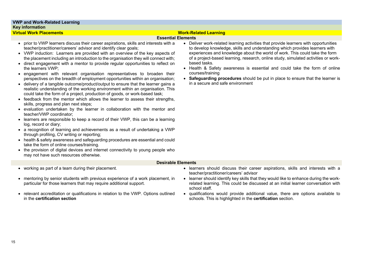

#### **Essential Elements**

- prior to VWP learners discuss their career aspirations, skills and interests with a teacher/practitioner/careers' advisor and identify clear goals;
- VWP induction: Learners are provided with an overview of the key aspects of the placement including an introduction to the organisation they will connect with;
- direct engagement with a mentor to provide regular opportunities to reflect on the learners VWP;
- engagement with relevant organisation representatives to broaden their perspectives on the breadth of employment opportunities within an organisation;
- delivery of a tangible outcome/product/output to ensure that the learner gains a realistic understanding of the working environment within an organisation. This could take the form of a project, production of goods, or work-based task;
- feedback from the mentor which allows the learner to assess their strengths, skills, progress and plan next steps;
- evaluation undertaken by the learner in collaboration with the mentor and teacher/VWP coordinator;
- learners are responsible to keep a record of their VWP, this can be a learning log, record or diary;
- a recognition of learning and achievements as a result of undertaking a VWP through profiling, CV writing or reporting;
- health & safety awareness and safeguarding procedures are essential and could take the form of online courses/training.
- the provision of digital devices and internet connectivity to young people who may not have such resources otherwise.

- working as part of a team during their placement. **•** learners should discuss their career aspirations, skills and interests with a
- mentoring by senior students with previous experience of a work placement, in particular for those learners that may require additional support.
- relevant accreditation or qualifications in relation to the VWP. Options outlined in the **certification section**
- teacher/practitioner/careers' advisor
- learner should identify key skills that they would like to enhance during the workrelated learning. This could be discussed at an initial learner conversation with school staff.
- qualifications would provide additional value, there are options available to schools. This is highlighted in the **certification** section.
- Deliver work-related learning activities that provide learners with opportunities to develop knowledge, skills and understanding which provides learners with experiences and knowledge about the world of work. This could take the form of a project-based learning, research, online study, simulated activities or workbased tasks.
- Health & Safety awareness is essential and could take the form of online courses/training
- **Safeguarding procedures** should be put in place to ensure that the learner is in a secure and safe environment

#### **Desirable Elements**